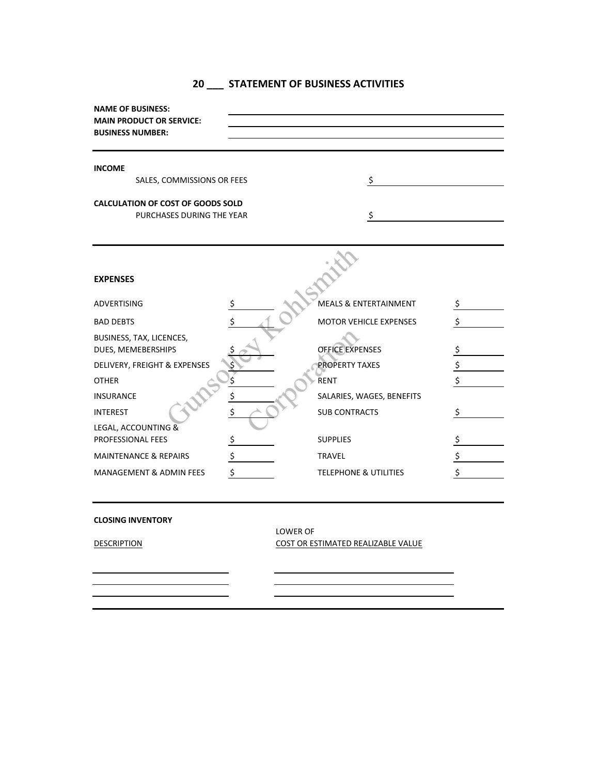| 20 | STATEMENT OF BUSINESS ACTIVITIES |  |  |  |
|----|----------------------------------|--|--|--|
|    |                                  |  |  |  |

| <b>NAME OF BUSINESS:</b><br><b>MAIN PRODUCT OR SERVICE:</b><br><b>BUSINESS NUMBER:</b> |                                        |    |
|----------------------------------------------------------------------------------------|----------------------------------------|----|
| <b>INCOME</b>                                                                          |                                        |    |
| SALES, COMMISSIONS OR FEES                                                             | \$                                     |    |
| <b>CALCULATION OF COST OF GOODS SOLD</b>                                               |                                        |    |
| PURCHASES DURING THE YEAR                                                              |                                        |    |
|                                                                                        |                                        |    |
|                                                                                        |                                        |    |
| <b>EXPENSES</b>                                                                        |                                        |    |
| <b>ADVERTISING</b>                                                                     | \$<br><b>MEALS &amp; ENTERTAINMENT</b> | \$ |
| <b>BAD DEBTS</b>                                                                       | MOTOR VEHICLE EXPENSES                 | \$ |
| BUSINESS, TAX, LICENCES,<br>DUES, MEMEBERSHIPS                                         | <b>OFFICE EXPENSES</b>                 | \$ |
| DELIVERY, FREIGHT & EXPENSES                                                           | <b>PROPERTY TAXES</b>                  | \$ |
| <b>OTHER</b>                                                                           | <b>RENT</b>                            | \$ |
| <b>INSURANCE</b>                                                                       | \$<br>SALARIES, WAGES, BENEFITS        |    |
| <b>INTEREST</b>                                                                        | \$<br><b>SUB CONTRACTS</b>             | S  |
| LEGAL, ACCOUNTING &<br>PROFESSIONAL FEES                                               | \$<br><b>SUPPLIES</b>                  | \$ |
| <b>MAINTENANCE &amp; REPAIRS</b>                                                       | \$<br><b>TRAVEL</b>                    | \$ |
| <b>MANAGEMENT &amp; ADMIN FEES</b>                                                     | \$<br><b>TELEPHONE &amp; UTILITIES</b> | \$ |
|                                                                                        |                                        |    |

## **CLOSING INVENTORY**

LOWER OF DESCRIPTION COST OR ESTIMATED REALIZABLE VALUE